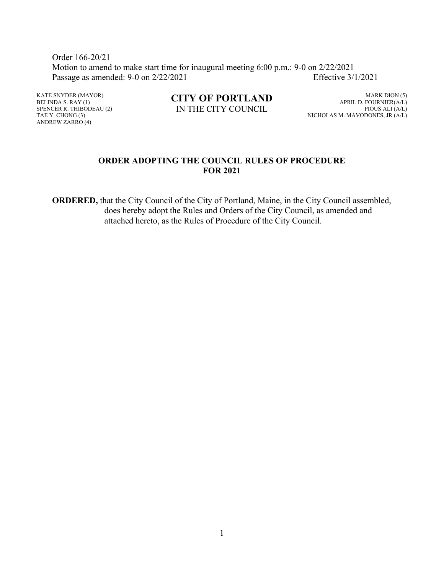Order 166-20/21 Motion to amend to make start time for inaugural meeting 6:00 p.m.: 9-0 on 2/22/2021 Passage as amended: 9-0 on 2/22/2021 Effective 3/1/2021

KATE SNYDER (MAYOR) BELINDA S. RAY (1) SPENCER R. THIBODEAU (2) TAE Y. CHONG (3) ANDREW ZARRO (4)

**CITY OF PORTLAND** IN THE CITY COUNCIL

MARK DION (5) APRIL D. FOURNIER(A/L) PIOUS ALI (A/L) NICHOLAS M. MAVODONES, JR (A/L)

# **ORDER ADOPTING THE COUNCIL RULES OF PROCEDURE FOR 2021**

**ORDERED,** that the City Council of the City of Portland, Maine, in the City Council assembled, does hereby adopt the Rules and Orders of the City Council, as amended and attached hereto, as the Rules of Procedure of the City Council.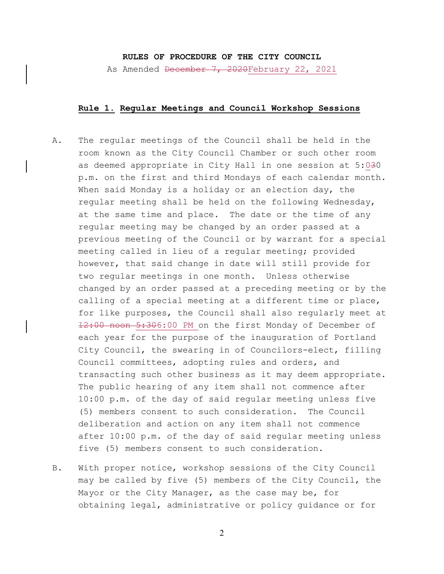## **RULES OF PROCEDURE OF THE CITY COUNCIL**

As Amended December 7, 2020February 22, 2021

#### **Rule 1. Regular Meetings and Council Workshop Sessions**

- A. The regular meetings of the Council shall be held in the room known as the City Council Chamber or such other room as deemed appropriate in City Hall in one session at 5:030 p.m. on the first and third Mondays of each calendar month. When said Monday is a holiday or an election day, the regular meeting shall be held on the following Wednesday, at the same time and place. The date or the time of any regular meeting may be changed by an order passed at a previous meeting of the Council or by warrant for a special meeting called in lieu of a regular meeting; provided however, that said change in date will still provide for two regular meetings in one month. Unless otherwise changed by an order passed at a preceding meeting or by the calling of a special meeting at a different time or place, for like purposes, the Council shall also regularly meet at 12:00 noon 5:306:00 PM on the first Monday of December of each year for the purpose of the inauguration of Portland City Council, the swearing in of Councilors-elect, filling Council committees, adopting rules and orders, and transacting such other business as it may deem appropriate. The public hearing of any item shall not commence after 10:00 p.m. of the day of said regular meeting unless five (5) members consent to such consideration. The Council deliberation and action on any item shall not commence after 10:00 p.m. of the day of said regular meeting unless five (5) members consent to such consideration.
- B. With proper notice, workshop sessions of the City Council may be called by five (5) members of the City Council, the Mayor or the City Manager, as the case may be, for obtaining legal, administrative or policy guidance or for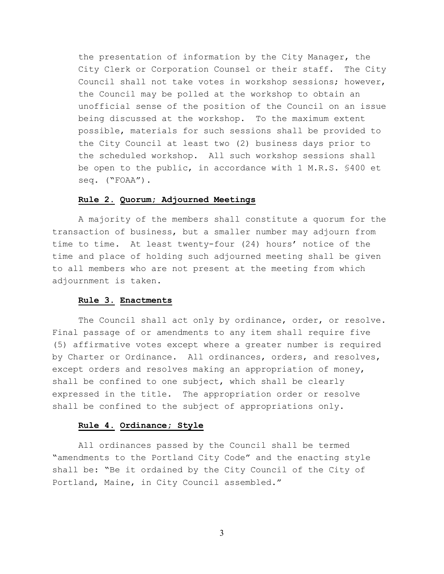the presentation of information by the City Manager, the City Clerk or Corporation Counsel or their staff. The City Council shall not take votes in workshop sessions; however, the Council may be polled at the workshop to obtain an unofficial sense of the position of the Council on an issue being discussed at the workshop.To the maximum extent possible, materials for such sessions shall be provided to the City Council at least two (2) business days prior to the scheduled workshop. All such workshop sessions shall be open to the public, in accordance with 1 M.R.S. §400 et seq. ("FOAA").

## **Rule 2. Quorum; Adjourned Meetings**

A majority of the members shall constitute a quorum for the transaction of business, but a smaller number may adjourn from time to time. At least twenty-four (24) hours' notice of the time and place of holding such adjourned meeting shall be given to all members who are not present at the meeting from which adjournment is taken.

#### **Rule 3. Enactments**

The Council shall act only by ordinance, order, or resolve. Final passage of or amendments to any item shall require five (5) affirmative votes except where a greater number is required by Charter or Ordinance. All ordinances, orders, and resolves, except orders and resolves making an appropriation of money, shall be confined to one subject, which shall be clearly expressed in the title. The appropriation order or resolve shall be confined to the subject of appropriations only.

## **Rule 4. Ordinance; Style**

All ordinances passed by the Council shall be termed "amendments to the Portland City Code" and the enacting style shall be: "Be it ordained by the City Council of the City of Portland, Maine, in City Council assembled."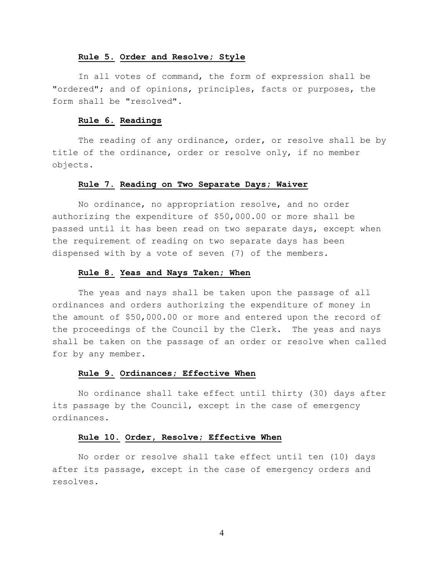#### **Rule 5. Order and Resolve; Style**

In all votes of command, the form of expression shall be "ordered"; and of opinions, principles, facts or purposes, the form shall be "resolved".

#### **Rule 6. Readings**

The reading of any ordinance, order, or resolve shall be by title of the ordinance, order or resolve only, if no member objects.

#### **Rule 7. Reading on Two Separate Days; Waiver**

No ordinance, no appropriation resolve, and no order authorizing the expenditure of \$50,000.00 or more shall be passed until it has been read on two separate days, except when the requirement of reading on two separate days has been dispensed with by a vote of seven (7) of the members.

#### **Rule 8. Yeas and Nays Taken; When**

The yeas and nays shall be taken upon the passage of all ordinances and orders authorizing the expenditure of money in the amount of \$50,000.00 or more and entered upon the record of the proceedings of the Council by the Clerk. The yeas and nays shall be taken on the passage of an order or resolve when called for by any member.

### **Rule 9. Ordinances; Effective When**

No ordinance shall take effect until thirty (30) days after its passage by the Council, except in the case of emergency ordinances.

#### **Rule 10. Order, Resolve; Effective When**

No order or resolve shall take effect until ten (10) days after its passage, except in the case of emergency orders and resolves.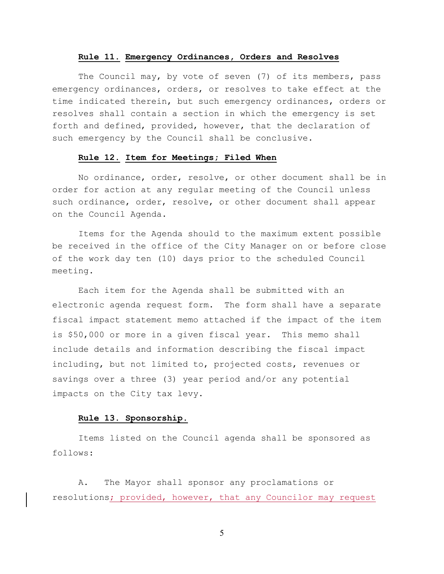#### **Rule 11. Emergency Ordinances, Orders and Resolves**

The Council may, by vote of seven (7) of its members, pass emergency ordinances, orders, or resolves to take effect at the time indicated therein, but such emergency ordinances, orders or resolves shall contain a section in which the emergency is set forth and defined, provided, however, that the declaration of such emergency by the Council shall be conclusive.

## **Rule 12. Item for Meetings; Filed When**

No ordinance, order, resolve, or other document shall be in order for action at any regular meeting of the Council unless such ordinance, order, resolve, or other document shall appear on the Council Agenda.

Items for the Agenda should to the maximum extent possible be received in the office of the City Manager on or before close of the work day ten (10) days prior to the scheduled Council meeting.

Each item for the Agenda shall be submitted with an electronic agenda request form. The form shall have a separate fiscal impact statement memo attached if the impact of the item is \$50,000 or more in a given fiscal year. This memo shall include details and information describing the fiscal impact including, but not limited to, projected costs, revenues or savings over a three (3) year period and/or any potential impacts on the City tax levy.

## **Rule 13. Sponsorship.**

Items listed on the Council agenda shall be sponsored as follows:

A. The Mayor shall sponsor any proclamations or resolutions; provided, however, that any Councilor may request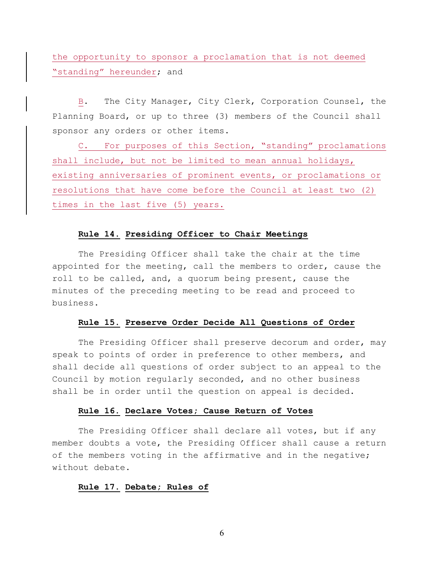the opportunity to sponsor a proclamation that is not deemed "standing" hereunder; and

B. The City Manager, City Clerk, Corporation Counsel, the Planning Board, or up to three (3) members of the Council shall sponsor any orders or other items.

C. For purposes of this Section, "standing" proclamations shall include, but not be limited to mean annual holidays, existing anniversaries of prominent events, or proclamations or resolutions that have come before the Council at least two (2) times in the last five (5) years.

#### **Rule 14. Presiding Officer to Chair Meetings**

The Presiding Officer shall take the chair at the time appointed for the meeting, call the members to order, cause the roll to be called, and, a quorum being present, cause the minutes of the preceding meeting to be read and proceed to business.

#### **Rule 15. Preserve Order Decide All Questions of Order**

The Presiding Officer shall preserve decorum and order, may speak to points of order in preference to other members, and shall decide all questions of order subject to an appeal to the Council by motion regularly seconded, and no other business shall be in order until the question on appeal is decided.

### **Rule 16. Declare Votes; Cause Return of Votes**

The Presiding Officer shall declare all votes, but if any member doubts a vote, the Presiding Officer shall cause a return of the members voting in the affirmative and in the negative; without debate.

## **Rule 17. Debate; Rules of**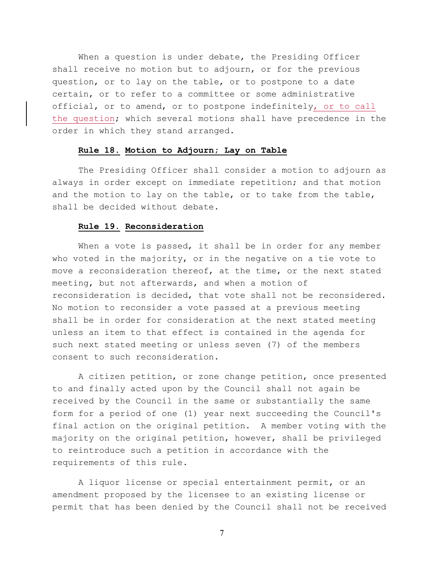When a question is under debate, the Presiding Officer shall receive no motion but to adjourn, or for the previous question, or to lay on the table, or to postpone to a date certain, or to refer to a committee or some administrative official, or to amend, or to postpone indefinitely, or to call the question; which several motions shall have precedence in the order in which they stand arranged.

### **Rule 18. Motion to Adjourn; Lay on Table**

The Presiding Officer shall consider a motion to adjourn as always in order except on immediate repetition; and that motion and the motion to lay on the table, or to take from the table, shall be decided without debate.

## **Rule 19. Reconsideration**

When a vote is passed, it shall be in order for any member who voted in the majority, or in the negative on a tie vote to move a reconsideration thereof, at the time, or the next stated meeting, but not afterwards, and when a motion of reconsideration is decided, that vote shall not be reconsidered. No motion to reconsider a vote passed at a previous meeting shall be in order for consideration at the next stated meeting unless an item to that effect is contained in the agenda for such next stated meeting or unless seven (7) of the members consent to such reconsideration.

A citizen petition, or zone change petition, once presented to and finally acted upon by the Council shall not again be received by the Council in the same or substantially the same form for a period of one (1) year next succeeding the Council's final action on the original petition. A member voting with the majority on the original petition, however, shall be privileged to reintroduce such a petition in accordance with the requirements of this rule.

A liquor license or special entertainment permit, or an amendment proposed by the licensee to an existing license or permit that has been denied by the Council shall not be received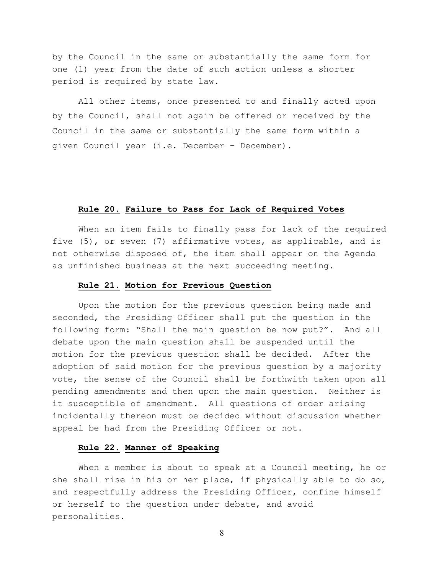by the Council in the same or substantially the same form for one (1) year from the date of such action unless a shorter period is required by state law.

All other items, once presented to and finally acted upon by the Council, shall not again be offered or received by the Council in the same or substantially the same form within a given Council year (i.e. December – December).

#### **Rule 20. Failure to Pass for Lack of Required Votes**

When an item fails to finally pass for lack of the required five (5), or seven (7) affirmative votes, as applicable, and is not otherwise disposed of, the item shall appear on the Agenda as unfinished business at the next succeeding meeting.

### **Rule 21. Motion for Previous Question**

Upon the motion for the previous question being made and seconded, the Presiding Officer shall put the question in the following form: "Shall the main question be now put?". And all debate upon the main question shall be suspended until the motion for the previous question shall be decided. After the adoption of said motion for the previous question by a majority vote, the sense of the Council shall be forthwith taken upon all pending amendments and then upon the main question. Neither is it susceptible of amendment. All questions of order arising incidentally thereon must be decided without discussion whether appeal be had from the Presiding Officer or not.

### **Rule 22. Manner of Speaking**

When a member is about to speak at a Council meeting, he or she shall rise in his or her place, if physically able to do so, and respectfully address the Presiding Officer, confine himself or herself to the question under debate, and avoid personalities.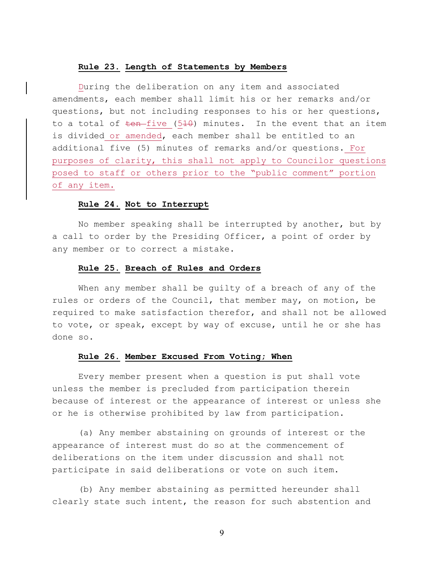#### **Rule 23. Length of Statements by Members**

During the deliberation on any item and associated amendments, each member shall limit his or her remarks and/or questions, but not including responses to his or her questions, to a total of  $t$ en-five (510) minutes. In the event that an item is divided or amended, each member shall be entitled to an additional five (5) minutes of remarks and/or questions. For purposes of clarity, this shall not apply to Councilor questions posed to staff or others prior to the "public comment" portion of any item.

# **Rule 24. Not to Interrupt**

No member speaking shall be interrupted by another, but by a call to order by the Presiding Officer, a point of order by any member or to correct a mistake.

#### **Rule 25. Breach of Rules and Orders**

When any member shall be guilty of a breach of any of the rules or orders of the Council, that member may, on motion, be required to make satisfaction therefor, and shall not be allowed to vote, or speak, except by way of excuse, until he or she has done so.

### **Rule 26. Member Excused From Voting; When**

Every member present when a question is put shall vote unless the member is precluded from participation therein because of interest or the appearance of interest or unless she or he is otherwise prohibited by law from participation.

(a) Any member abstaining on grounds of interest or the appearance of interest must do so at the commencement of deliberations on the item under discussion and shall not participate in said deliberations or vote on such item.

(b) Any member abstaining as permitted hereunder shall clearly state such intent, the reason for such abstention and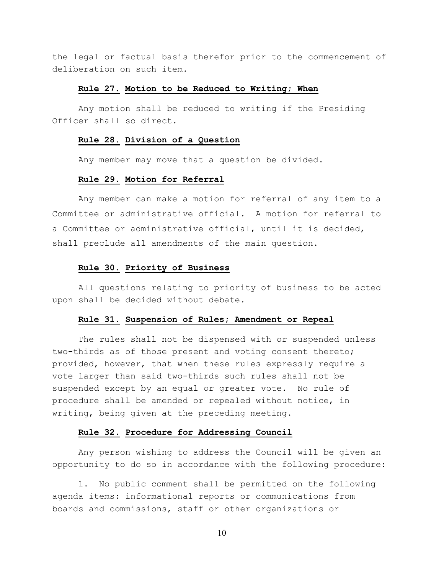the legal or factual basis therefor prior to the commencement of deliberation on such item.

### **Rule 27. Motion to be Reduced to Writing; When**

Any motion shall be reduced to writing if the Presiding Officer shall so direct.

#### **Rule 28. Division of a Question**

Any member may move that a question be divided.

## **Rule 29. Motion for Referral**

Any member can make a motion for referral of any item to a Committee or administrative official. A motion for referral to a Committee or administrative official, until it is decided, shall preclude all amendments of the main question.

#### **Rule 30. Priority of Business**

All questions relating to priority of business to be acted upon shall be decided without debate.

## **Rule 31. Suspension of Rules; Amendment or Repeal**

The rules shall not be dispensed with or suspended unless two-thirds as of those present and voting consent thereto; provided, however, that when these rules expressly require a vote larger than said two-thirds such rules shall not be suspended except by an equal or greater vote. No rule of procedure shall be amended or repealed without notice, in writing, being given at the preceding meeting.

## **Rule 32. Procedure for Addressing Council**

Any person wishing to address the Council will be given an opportunity to do so in accordance with the following procedure:

1. No public comment shall be permitted on the following agenda items: informational reports or communications from boards and commissions, staff or other organizations or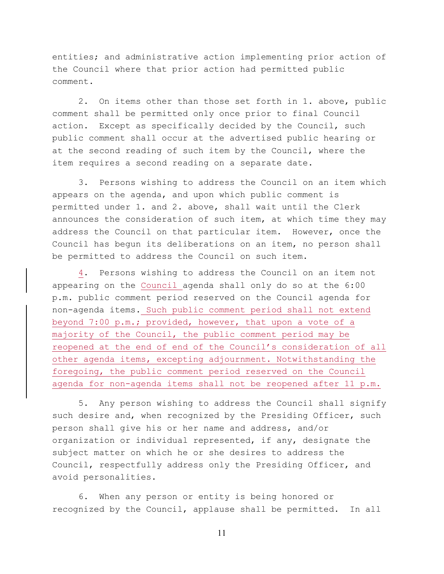entities; and administrative action implementing prior action of the Council where that prior action had permitted public comment.

2. On items other than those set forth in 1. above, public comment shall be permitted only once prior to final Council action. Except as specifically decided by the Council, such public comment shall occur at the advertised public hearing or at the second reading of such item by the Council, where the item requires a second reading on a separate date.

3. Persons wishing to address the Council on an item which appears on the agenda, and upon which public comment is permitted under 1. and 2. above, shall wait until the Clerk announces the consideration of such item, at which time they may address the Council on that particular item. However, once the Council has begun its deliberations on an item, no person shall be permitted to address the Council on such item.

4. Persons wishing to address the Council on an item not appearing on the Council agenda shall only do so at the 6:00 p.m. public comment period reserved on the Council agenda for non-agenda items. Such public comment period shall not extend beyond 7:00 p.m.; provided, however, that upon a vote of a majority of the Council, the public comment period may be reopened at the end of end of the Council's consideration of all other agenda items, excepting adjournment. Notwithstanding the foregoing, the public comment period reserved on the Council agenda for non-agenda items shall not be reopened after 11 p.m.

5. Any person wishing to address the Council shall signify such desire and, when recognized by the Presiding Officer, such person shall give his or her name and address, and/or organization or individual represented, if any, designate the subject matter on which he or she desires to address the Council, respectfully address only the Presiding Officer, and avoid personalities.

6. When any person or entity is being honored or recognized by the Council, applause shall be permitted. In all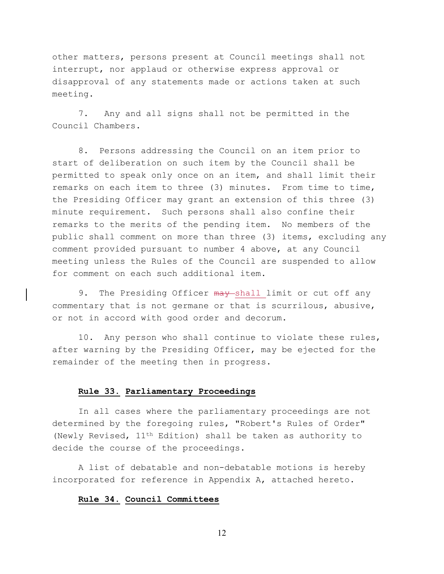other matters, persons present at Council meetings shall not interrupt, nor applaud or otherwise express approval or disapproval of any statements made or actions taken at such meeting.

7. Any and all signs shall not be permitted in the Council Chambers.

8. Persons addressing the Council on an item prior to start of deliberation on such item by the Council shall be permitted to speak only once on an item, and shall limit their remarks on each item to three (3) minutes. From time to time, the Presiding Officer may grant an extension of this three (3) minute requirement. Such persons shall also confine their remarks to the merits of the pending item. No members of the public shall comment on more than three (3) items, excluding any comment provided pursuant to number 4 above, at any Council meeting unless the Rules of the Council are suspended to allow for comment on each such additional item.

9. The Presiding Officer may shall limit or cut off any commentary that is not germane or that is scurrilous, abusive, or not in accord with good order and decorum.

10. Any person who shall continue to violate these rules, after warning by the Presiding Officer, may be ejected for the remainder of the meeting then in progress.

### **Rule 33. Parliamentary Proceedings**

In all cases where the parliamentary proceedings are not determined by the foregoing rules, "Robert's Rules of Order" (Newly Revised, 11th Edition) shall be taken as authority to decide the course of the proceedings.

A list of debatable and non-debatable motions is hereby incorporated for reference in Appendix A, attached hereto.

# **Rule 34. Council Committees**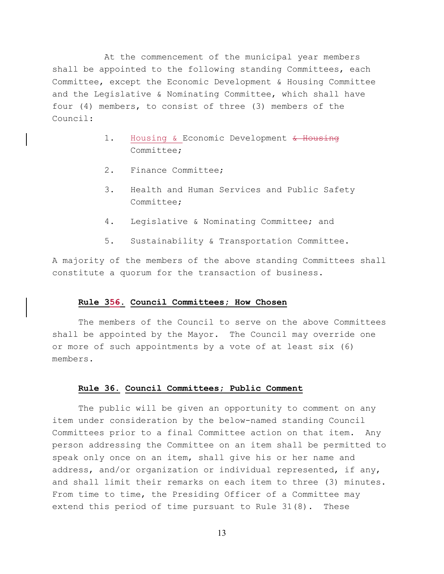At the commencement of the municipal year members shall be appointed to the following standing Committees, each Committee, except the Economic Development & Housing Committee and the Legislative & Nominating Committee, which shall have four (4) members, to consist of three (3) members of the Council:

- 1. Housing & Economic Development & Housing Committee;
- 2. Finance Committee;
- 3. Health and Human Services and Public Safety Committee;
- 4. Legislative & Nominating Committee; and
- 5. Sustainability & Transportation Committee.

A majority of the members of the above standing Committees shall constitute a quorum for the transaction of business.

### **Rule 356. Council Committees; How Chosen**

The members of the Council to serve on the above Committees shall be appointed by the Mayor. The Council may override one or more of such appointments by a vote of at least six (6) members.

#### **Rule 36. Council Committees; Public Comment**

The public will be given an opportunity to comment on any item under consideration by the below-named standing Council Committees prior to a final Committee action on that item. Any person addressing the Committee on an item shall be permitted to speak only once on an item, shall give his or her name and address, and/or organization or individual represented, if any, and shall limit their remarks on each item to three (3) minutes. From time to time, the Presiding Officer of a Committee may extend this period of time pursuant to Rule 31(8). These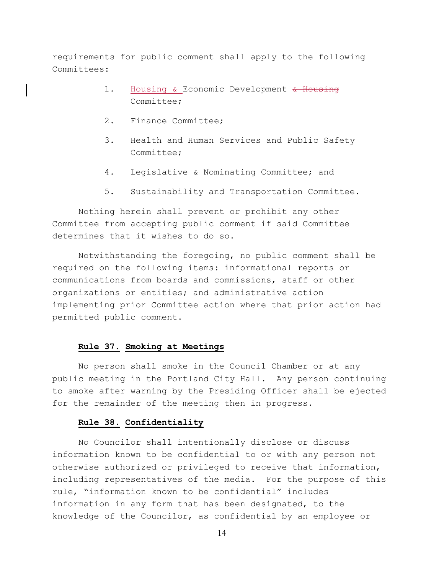requirements for public comment shall apply to the following Committees:

- 1. Housing & Economic Development & Housing Committee;
- 2. Finance Committee;
- 3. Health and Human Services and Public Safety Committee;
- 4. Legislative & Nominating Committee; and
- 5. Sustainability and Transportation Committee.

Nothing herein shall prevent or prohibit any other Committee from accepting public comment if said Committee determines that it wishes to do so.

Notwithstanding the foregoing, no public comment shall be required on the following items: informational reports or communications from boards and commissions, staff or other organizations or entities; and administrative action implementing prior Committee action where that prior action had permitted public comment.

## **Rule 37. Smoking at Meetings**

No person shall smoke in the Council Chamber or at any public meeting in the Portland City Hall. Any person continuing to smoke after warning by the Presiding Officer shall be ejected for the remainder of the meeting then in progress.

## **Rule 38. Confidentiality**

No Councilor shall intentionally disclose or discuss information known to be confidential to or with any person not otherwise authorized or privileged to receive that information, including representatives of the media. For the purpose of this rule, "information known to be confidential" includes information in any form that has been designated, to the knowledge of the Councilor, as confidential by an employee or